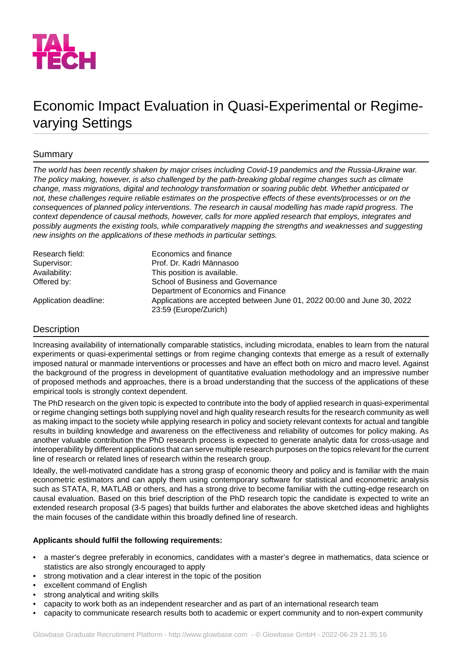

# Economic Impact Evaluation in Quasi-Experimental or Regimevarying Settings

# Summary

*The world has been recently shaken by major crises including Covid-19 pandemics and the Russia-Ukraine war. The policy making, however, is also challenged by the path-breaking global regime changes such as climate change, mass migrations, digital and technology transformation or soaring public debt. Whether anticipated or not, these challenges require reliable estimates on the prospective effects of these events/processes or on the consequences of planned policy interventions. The research in causal modelling has made rapid progress. The context dependence of causal methods, however, calls for more applied research that employs, integrates and possibly augments the existing tools, while comparatively mapping the strengths and weaknesses and suggesting new insights on the applications of these methods in particular settings.*

| Research field:       | Economics and finance                                                   |
|-----------------------|-------------------------------------------------------------------------|
| Supervisor:           | Prof. Dr. Kadri Männasoo                                                |
| Availability:         | This position is available.                                             |
| Offered by:           | School of Business and Governance                                       |
|                       | Department of Economics and Finance                                     |
| Application deadline: | Applications are accepted between June 01, 2022 00:00 and June 30, 2022 |
|                       | 23:59 (Europe/Zurich)                                                   |

# Description

Increasing availability of internationally comparable statistics, including microdata, enables to learn from the natural experiments or quasi-experimental settings or from regime changing contexts that emerge as a result of externally imposed natural or manmade interventions or processes and have an effect both on micro and macro level. Against the background of the progress in development of quantitative evaluation methodology and an impressive number of proposed methods and approaches, there is a broad understanding that the success of the applications of these empirical tools is strongly context dependent.

The PhD research on the given topic is expected to contribute into the body of applied research in quasi-experimental or regime changing settings both supplying novel and high quality research results for the research community as well as making impact to the society while applying research in policy and society relevant contexts for actual and tangible results in building knowledge and awareness on the effectiveness and reliability of outcomes for policy making. As another valuable contribution the PhD research process is expected to generate analytic data for cross-usage and interoperability by different applications that can serve multiple research purposes on the topics relevant for the current line of research or related lines of research within the research group.

Ideally, the well-motivated candidate has a strong grasp of economic theory and policy and is familiar with the main econometric estimators and can apply them using contemporary software for statistical and econometric analysis such as STATA, R, MATLAB or others, and has a strong drive to become familiar with the cutting-edge research on causal evaluation. Based on this brief description of the PhD research topic the candidate is expected to write an extended research proposal (3-5 pages) that builds further and elaborates the above sketched ideas and highlights the main focuses of the candidate within this broadly defined line of research.

## **Applicants should fulfil the following requirements:**

- a master's degree preferably in economics, candidates with a master's degree in mathematics, data science or statistics are also strongly encouraged to apply
- strong motivation and a clear interest in the topic of the position
- excellent command of English
- strong analytical and writing skills
- capacity to work both as an independent researcher and as part of an international research team
- capacity to communicate research results both to academic or expert community and to non-expert community